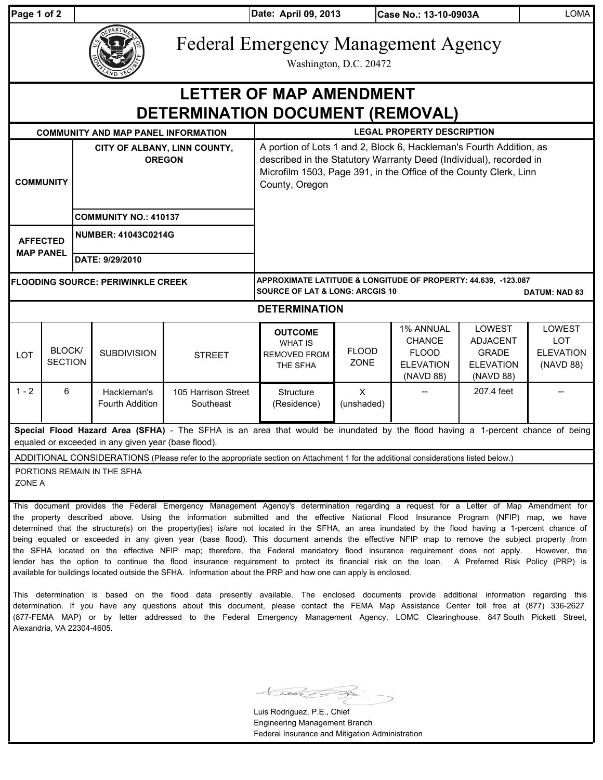| Page 1 of 2 |  |  |
|-------------|--|--|
|             |  |  |

**COMMUNITY**

**MAP PANEL**

**Pate: April 09, 2013** 

**Case No.: 13-10-0903A** 

Federal Emergency Management Agency

Washington, D.C. 20472

### **COMMUNITY AND MAP PANEL INFORMATION LEGAL PROPERTY DESCRIPTION CITY OF ALBANY, LINN COUNTY, OREGON** A portion of Lots 1 and 2, Block 6, Hackleman's Fourth Addition, as described in the Statutory Warranty Deed (Individual), recorded in Microfilm 1503, Page 391, in the Office of the County Clerk, Linn **DETERMINATION DOCUMENT (REMOVAL) LETTER OF MAP AMENDMENT**

County, Oregon

**NUMBER: 41043C0214G COMMUNITY NO.: 410137**

**DATE: 9/29/2010**

**AFFECTED** 

**FLOODING SOURCE: PERIWINKLE CREEK**

**DATUM: NAD 83 APPROXIMATE LATITUDE & LONGITUDE OF PROPERTY: 44.639, -123.087 SOURCE OF LAT & LONG: ARCGIS 10** 

#### **DETERMINATION**

|         |                |                    |                     | <b>OUTCOME</b>      |              | 1% ANNUAL        | LOWEST           | LOWEST           |
|---------|----------------|--------------------|---------------------|---------------------|--------------|------------------|------------------|------------------|
|         |                |                    |                     | <b>WHAT IS</b>      |              | <b>CHANCE</b>    | <b>ADJACENT</b>  | LOT              |
| LOT     | <b>BLOCK</b>   | <b>SUBDIVISION</b> | <b>STREET</b>       | <b>REMOVED FROM</b> | <b>FLOOD</b> | <b>FLOOD</b>     | <b>GRADE</b>     | <b>ELEVATION</b> |
|         | <b>SECTION</b> |                    |                     | THE SFHA            | ZONE         | <b>ELEVATION</b> | <b>ELEVATION</b> | (NAVD 88)        |
|         |                |                    |                     |                     |              | (NAVD 88)        | (NAVD 88)        |                  |
| $1 - 2$ | 6              | Hackleman's        | 105 Harrison Street | Structure           | х            | $- -$            | 207.4 feet       |                  |
|         |                | Fourth Addition    | Southeast           | (Residence)         | (unshaded)   |                  |                  |                  |
|         |                |                    |                     |                     |              |                  |                  |                  |

**Special Flood Hazard Area (SFHA)** - The SFHA is an area that would be inundated by the flood having a 1-percent chance of being equaled or exceeded in any given year (base flood).

ADDITIONAL CONSIDERATIONS (Please refer to the appropriate section on Attachment 1 for the additional considerations listed below.)

PORTIONS REMAIN IN THE SFHA

ZONE A

This document provides the Federal Emergency Management Agency's determination regarding a request for a Letter of Map Amendment for the property described above. Using the information submitted and the effective National Flood Insurance Program (NFIP) map, we have determined that the structure(s) on the property(ies) is/are not located in the SFHA, an area inundated by the flood having a 1-percent chance of being equaled or exceeded in any given year (base flood). This document amends the effective NFIP map to remove the subject property from the SFHA located on the effective NFIP map; therefore, the Federal mandatory flood insurance requirement does not apply. However, the lender has the option to continue the flood insurance requirement to protect its financial risk on the loan. A Preferred Risk Policy (PRP) is available for buildings located outside the SFHA. Information about the PRP and how one can apply is enclosed.

This determination is based on the flood data presently available. The enclosed documents provide additional information regarding this determination. If you have any questions about this document, please contact the FEMA Map Assistance Center toll free at (877) 336-2627 (877-FEMA MAP) or by letter addressed to the Federal Emergency Management Agency, LOMC Clearinghouse, 847 South Pickett Street, Alexandria, VA 22304-4605.

 $\bigoplus$ 

Luis Rodriguez, P.E., Chief Engineering Management Branch Federal Insurance and Mitigation Administration